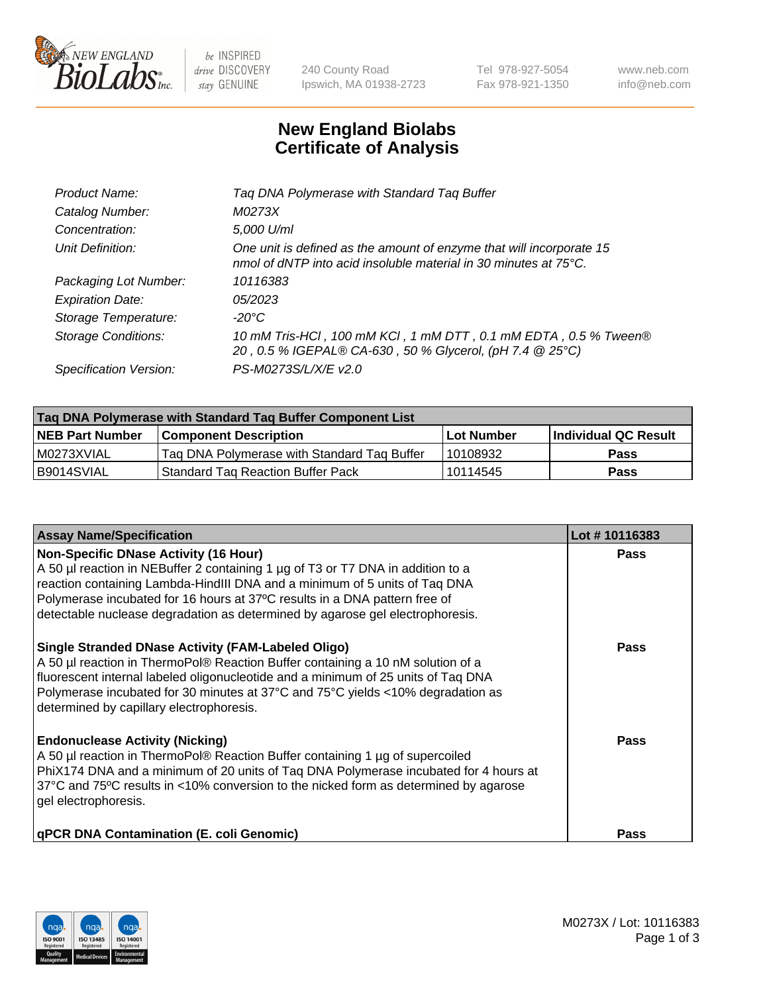

 $be$  INSPIRED drive DISCOVERY stay GENUINE

240 County Road Ipswich, MA 01938-2723 Tel 978-927-5054 Fax 978-921-1350 www.neb.com info@neb.com

## **New England Biolabs Certificate of Analysis**

| Product Name:           | Tag DNA Polymerase with Standard Tag Buffer                                                                                                        |
|-------------------------|----------------------------------------------------------------------------------------------------------------------------------------------------|
| Catalog Number:         | M0273X                                                                                                                                             |
| Concentration:          | 5,000 U/ml                                                                                                                                         |
| Unit Definition:        | One unit is defined as the amount of enzyme that will incorporate 15<br>nmol of dNTP into acid insoluble material in 30 minutes at $75^{\circ}$ C. |
| Packaging Lot Number:   | 10116383                                                                                                                                           |
| <b>Expiration Date:</b> | 05/2023                                                                                                                                            |
| Storage Temperature:    | $-20^{\circ}$ C                                                                                                                                    |
| Storage Conditions:     | 10 mM Tris-HCl, 100 mM KCl, 1 mM DTT, 0.1 mM EDTA, 0.5 % Tween®<br>20, 0.5 % IGEPAL® CA-630, 50 % Glycerol, (pH 7.4 @ 25°C)                        |
| Specification Version:  | PS-M0273S/L/X/E v2.0                                                                                                                               |

| Tag DNA Polymerase with Standard Tag Buffer Component List |                                             |                   |                      |  |
|------------------------------------------------------------|---------------------------------------------|-------------------|----------------------|--|
| <b>NEB Part Number</b>                                     | Component Description_                      | <b>Lot Number</b> | Individual QC Result |  |
| M0273XVIAL                                                 | Tag DNA Polymerase with Standard Tag Buffer | l 10108932        | Pass                 |  |
| B9014SVIAL                                                 | <b>Standard Tag Reaction Buffer Pack</b>    | 10114545          | <b>Pass</b>          |  |

| <b>Assay Name/Specification</b>                                                                                                                                                                                                                                                                                                                                              | Lot #10116383 |
|------------------------------------------------------------------------------------------------------------------------------------------------------------------------------------------------------------------------------------------------------------------------------------------------------------------------------------------------------------------------------|---------------|
| <b>Non-Specific DNase Activity (16 Hour)</b><br>A 50 µl reaction in NEBuffer 2 containing 1 µg of T3 or T7 DNA in addition to a<br>reaction containing Lambda-HindIII DNA and a minimum of 5 units of Taq DNA<br>Polymerase incubated for 16 hours at 37°C results in a DNA pattern free of<br>detectable nuclease degradation as determined by agarose gel electrophoresis. | Pass          |
| <b>Single Stranded DNase Activity (FAM-Labeled Oligo)</b><br>A 50 µl reaction in ThermoPol® Reaction Buffer containing a 10 nM solution of a<br>fluorescent internal labeled oligonucleotide and a minimum of 25 units of Taq DNA<br>Polymerase incubated for 30 minutes at 37°C and 75°C yields <10% degradation as<br>determined by capillary electrophoresis.             | Pass          |
| <b>Endonuclease Activity (Nicking)</b><br>A 50 µl reaction in ThermoPol® Reaction Buffer containing 1 µg of supercoiled<br>PhiX174 DNA and a minimum of 20 units of Taq DNA Polymerase incubated for 4 hours at<br>37°C and 75°C results in <10% conversion to the nicked form as determined by agarose<br>gel electrophoresis.                                              | Pass          |
| <b>qPCR DNA Contamination (E. coli Genomic)</b>                                                                                                                                                                                                                                                                                                                              | <b>Pass</b>   |

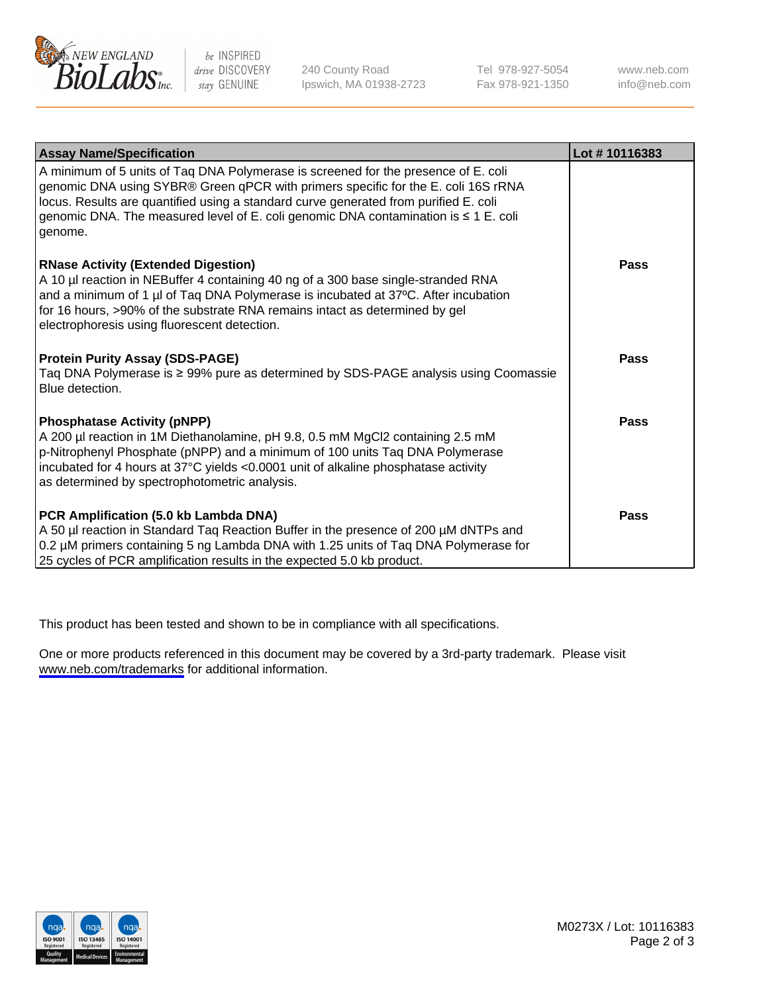

be INSPIRED drive DISCOVERY stay GENUINE

240 County Road Ipswich, MA 01938-2723 Tel 978-927-5054 Fax 978-921-1350

www.neb.com info@neb.com

| <b>Assay Name/Specification</b>                                                                                                                                                                                                                                                                                                                                   | Lot #10116383 |
|-------------------------------------------------------------------------------------------------------------------------------------------------------------------------------------------------------------------------------------------------------------------------------------------------------------------------------------------------------------------|---------------|
| A minimum of 5 units of Taq DNA Polymerase is screened for the presence of E. coli<br>genomic DNA using SYBR® Green qPCR with primers specific for the E. coli 16S rRNA<br>locus. Results are quantified using a standard curve generated from purified E. coli<br>genomic DNA. The measured level of E. coli genomic DNA contamination is ≤ 1 E. coli<br>genome. |               |
| <b>RNase Activity (Extended Digestion)</b><br>A 10 µl reaction in NEBuffer 4 containing 40 ng of a 300 base single-stranded RNA<br>and a minimum of 1 µl of Taq DNA Polymerase is incubated at 37°C. After incubation<br>for 16 hours, >90% of the substrate RNA remains intact as determined by gel<br>electrophoresis using fluorescent detection.              | <b>Pass</b>   |
| <b>Protein Purity Assay (SDS-PAGE)</b><br>Taq DNA Polymerase is ≥ 99% pure as determined by SDS-PAGE analysis using Coomassie<br>Blue detection.                                                                                                                                                                                                                  | <b>Pass</b>   |
| <b>Phosphatase Activity (pNPP)</b><br>A 200 µl reaction in 1M Diethanolamine, pH 9.8, 0.5 mM MgCl2 containing 2.5 mM<br>p-Nitrophenyl Phosphate (pNPP) and a minimum of 100 units Taq DNA Polymerase<br>incubated for 4 hours at 37°C yields <0.0001 unit of alkaline phosphatase activity<br>as determined by spectrophotometric analysis.                       | <b>Pass</b>   |
| PCR Amplification (5.0 kb Lambda DNA)<br>A 50 µl reaction in Standard Taq Reaction Buffer in the presence of 200 µM dNTPs and<br>0.2 µM primers containing 5 ng Lambda DNA with 1.25 units of Taq DNA Polymerase for<br>25 cycles of PCR amplification results in the expected 5.0 kb product.                                                                    | <b>Pass</b>   |

This product has been tested and shown to be in compliance with all specifications.

One or more products referenced in this document may be covered by a 3rd-party trademark. Please visit <www.neb.com/trademarks>for additional information.